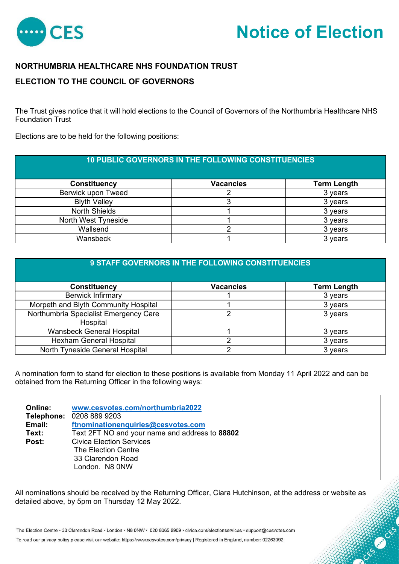

## **Notice of Election**

**CONSTRUCTION** 

## **NORTHUMBRIA HEALTHCARE NHS FOUNDATION TRUST**

## **ELECTION TO THE COUNCIL OF GOVERNORS**

The Trust gives notice that it will hold elections to the Council of Governors of the Northumbria Healthcare NHS Foundation Trust

Elections are to be held for the following positions:

| <b>10 PUBLIC GOVERNORS IN THE FOLLOWING CONSTITUENCIES</b> |                  |                    |
|------------------------------------------------------------|------------------|--------------------|
| <b>Constituency</b>                                        | <b>Vacancies</b> | <b>Term Length</b> |
| Berwick upon Tweed                                         |                  | 3 years            |
| <b>Blyth Valley</b>                                        |                  | 3 years            |
| <b>North Shields</b>                                       |                  | 3 years            |
| North West Tyneside                                        |                  | 3 years            |
| Wallsend                                                   |                  | 3 years            |
| Wansbeck                                                   |                  | 3 years            |

| <b>9 STAFF GOVERNORS IN THE FOLLOWING CONSTITUENCIES</b> |                  |                    |
|----------------------------------------------------------|------------------|--------------------|
| <b>Constituency</b>                                      | <b>Vacancies</b> | <b>Term Length</b> |
| <b>Berwick Infirmary</b>                                 |                  | 3 years            |
| Morpeth and Blyth Community Hospital                     |                  | 3 years            |
| Northumbria Specialist Emergency Care<br>Hospital        | ⌒                | 3 years            |
| Wansbeck General Hospital                                |                  | 3 years            |
| <b>Hexham General Hospital</b>                           |                  | 3 years            |
| North Tyneside General Hospital                          |                  | 3 years            |

A nomination form to stand for election to these positions is available from Monday 11 April 2022 and can be obtained from the Returning Officer in the following ways:

| <b>Online:</b> | www.cesvotes.com/northumbria2022               |
|----------------|------------------------------------------------|
|                | Telephone: 0208 889 9203                       |
| Email:         | ftnominationenquiries@cesvotes.com             |
| Text:          | Text 2FT NO and your name and address to 88802 |
| Post:          | <b>Civica Election Services</b>                |
|                | The Election Centre                            |
|                | 33 Clarendon Road                              |
|                | London. N8 0NW                                 |

All nominations should be received by the Returning Officer, Ciara Hutchinson, at the address or website as detailed above, by 5pm on Thursday 12 May 2022.

The Election Centre · 33 Clarendon Road · London · N8 0NW · 020 8365 8909 · civica.com/electionservices · support@cesvotes.com

To read our privacy policy please visit our website: https://www.cesvotes.com/privacy | Registered in England, number: 02263092